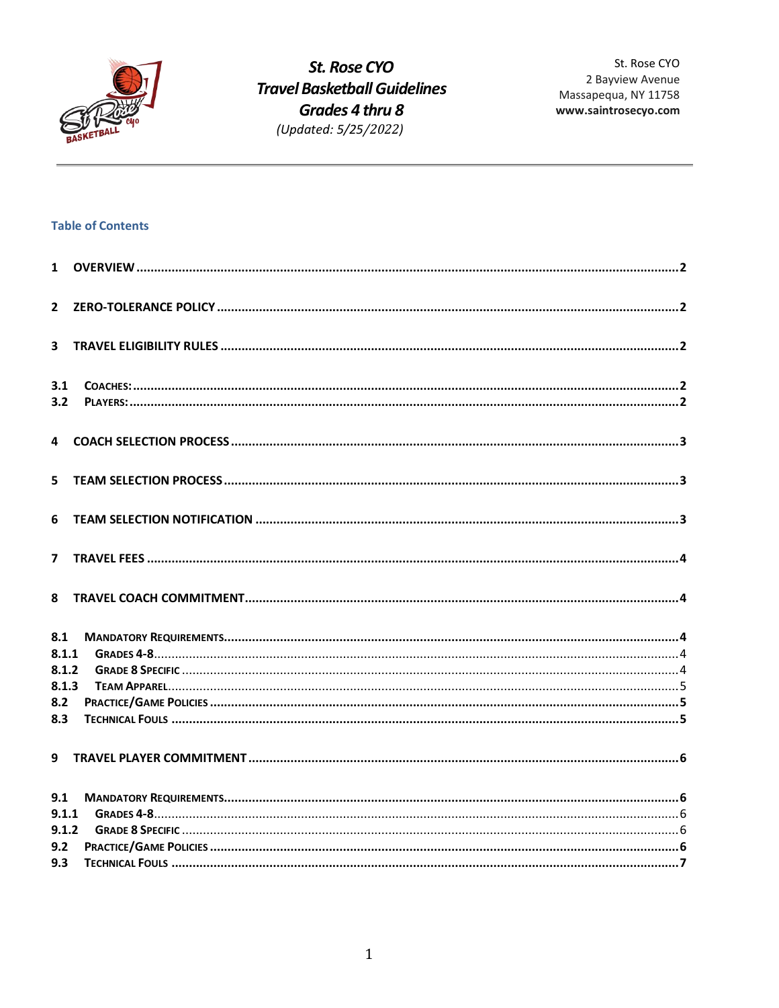

St. Rose CYO **Travel Basketball Guidelines** Grades 4 thru 8 (Updated: 5/25/2022)

## **Table of Contents**

| $\mathbf{1}$   |  |
|----------------|--|
| $\mathbf{2}$   |  |
| 3              |  |
| 3.1<br>3.2     |  |
| 4              |  |
| 5              |  |
| 6              |  |
| $\overline{ }$ |  |
| 8              |  |
| 8.1            |  |
| 8.1.1          |  |
| 8.1.2          |  |
| 8.1.3          |  |
| 8.2            |  |
| 8.3            |  |
| $\mathbf{q}$   |  |
| 9.1            |  |
| 9.1.1          |  |
| 9.1.2          |  |
| 9.2            |  |
| 9.3            |  |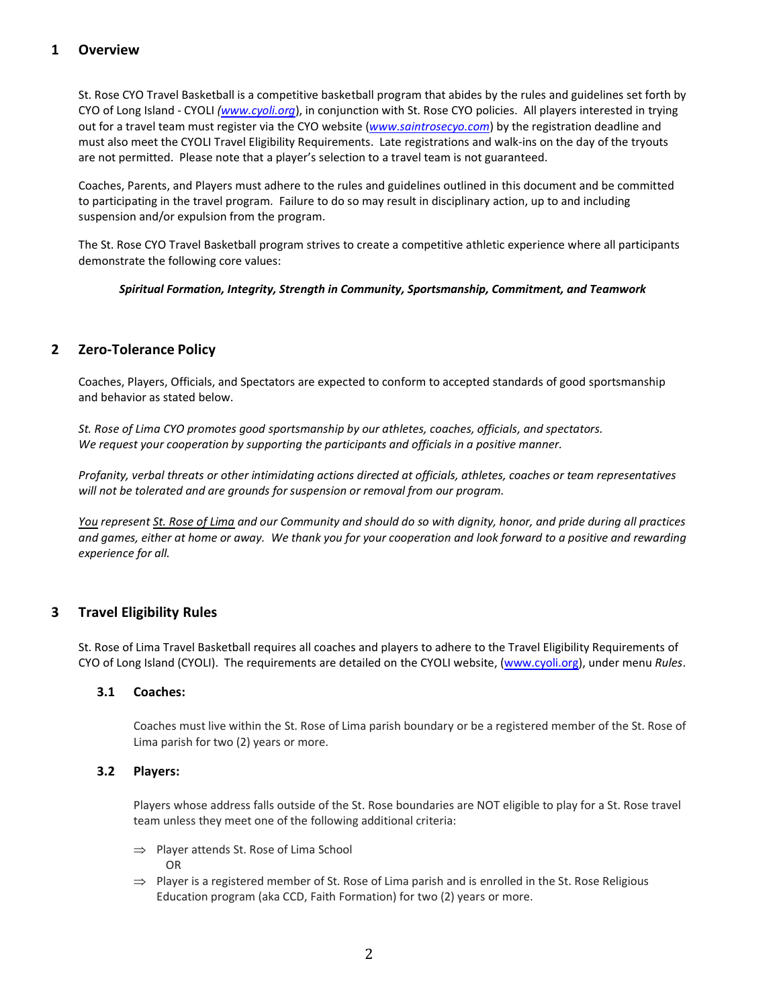## <span id="page-1-0"></span>**1 Overview**

St. Rose CYO Travel Basketball is a competitive basketball program that abides by the rules and guidelines set forth by CYO of Long Island - CYOLI *[\(www.cyoli.org](http://www.cyoli.org/)*), in conjunction with St. Rose CYO policies. All players interested in trying out for a travel team must register via the CYO website (*[www.saintrosecyo.com](http://www.saintrosecyo.com/)*) by the registration deadline and must also meet the CYOLI Travel Eligibility Requirements. Late registrations and walk-ins on the day of the tryouts are not permitted. Please note that a player's selection to a travel team is not guaranteed.

Coaches, Parents, and Players must adhere to the rules and guidelines outlined in this document and be committed to participating in the travel program. Failure to do so may result in disciplinary action, up to and including suspension and/or expulsion from the program.

The St. Rose CYO Travel Basketball program strives to create a competitive athletic experience where all participants demonstrate the following core values:

*Spiritual Formation, Integrity, Strength in Community, Sportsmanship, Commitment, and Teamwork*

### <span id="page-1-1"></span>**2 Zero-Tolerance Policy**

Coaches, Players, Officials, and Spectators are expected to conform to accepted standards of good sportsmanship and behavior as stated below.

*St. Rose of Lima CYO promotes good sportsmanship by our athletes, coaches, officials, and spectators. We request your cooperation by supporting the participants and officials in a positive manner.* 

*Profanity, verbal threats or other intimidating actions directed at officials, athletes, coaches or team representatives will not be tolerated and are grounds for suspension or removal from our program.* 

*You represent St. Rose of Lima and our Community and should do so with dignity, honor, and pride during all practices and games, either at home or away. We thank you for your cooperation and look forward to a positive and rewarding experience for all.*

# <span id="page-1-2"></span>**3 Travel Eligibility Rules**

St. Rose of Lima Travel Basketball requires all coaches and players to adhere to the Travel Eligibility Requirements of CYO of Long Island (CYOLI). The requirements are detailed on the CYOLI website, [\(www.cyoli.org\)](http://www.cyoli.org/), under menu *Rules*.

#### <span id="page-1-3"></span>**3.1 Coaches:**

Coaches must live within the St. Rose of Lima parish boundary or be a registered member of the St. Rose of Lima parish for two (2) years or more.

#### <span id="page-1-4"></span>**3.2 Players:**

Players whose address falls outside of the St. Rose boundaries are NOT eligible to play for a St. Rose travel team unless they meet one of the following additional criteria:

- $\Rightarrow$  Player attends St. Rose of Lima School OR
- $\Rightarrow$  Player is a registered member of St. Rose of Lima parish and is enrolled in the St. Rose Religious Education program (aka CCD, Faith Formation) for two (2) years or more.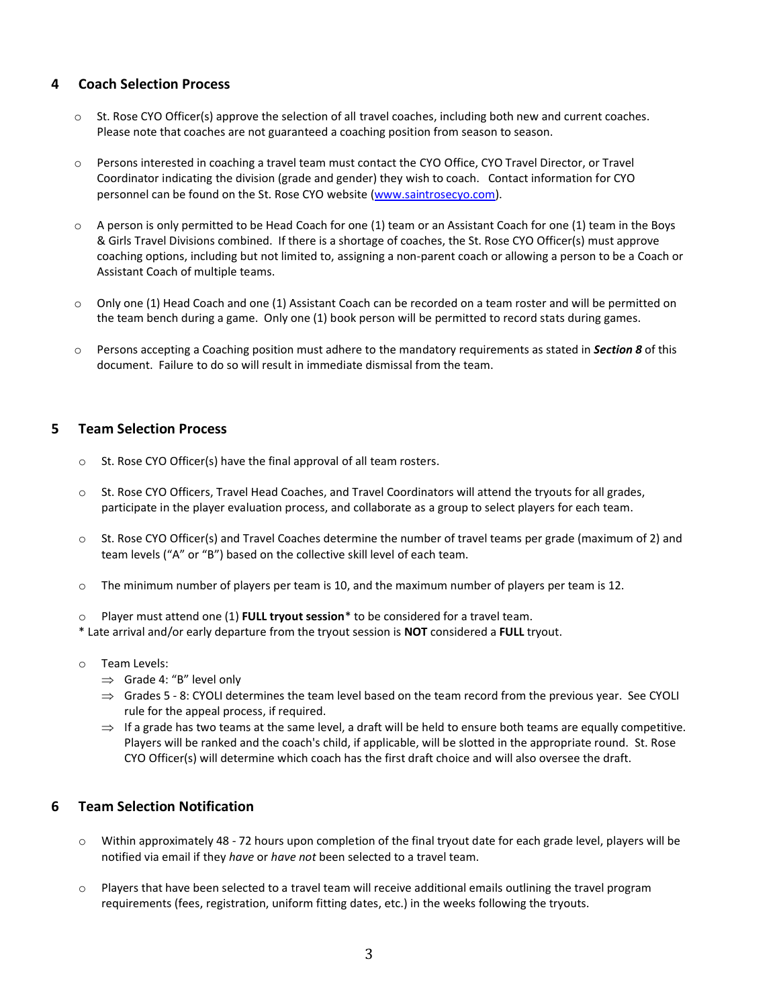## <span id="page-2-0"></span>**4 Coach Selection Process**

- $\circ$  St. Rose CYO Officer(s) approve the selection of all travel coaches, including both new and current coaches. Please note that coaches are not guaranteed a coaching position from season to season.
- o Persons interested in coaching a travel team must contact the CYO Office, CYO Travel Director, or Travel Coordinator indicating the division (grade and gender) they wish to coach. Contact information for CYO personnel can be found on the St. Rose CYO website [\(www.saintrosecyo.com\)](http://www.saintrosecyo.com/).
- $\circ$  A person is only permitted to be Head Coach for one (1) team or an Assistant Coach for one (1) team in the Boys & Girls Travel Divisions combined. If there is a shortage of coaches, the St. Rose CYO Officer(s) must approve coaching options, including but not limited to, assigning a non-parent coach or allowing a person to be a Coach or Assistant Coach of multiple teams.
- o Only one (1) Head Coach and one (1) Assistant Coach can be recorded on a team roster and will be permitted on the team bench during a game. Only one (1) book person will be permitted to record stats during games.
- o Persons accepting a Coaching position must adhere to the mandatory requirements as stated in *Section 8* of this document. Failure to do so will result in immediate dismissal from the team.

### <span id="page-2-1"></span>**5 Team Selection Process**

- o St. Rose CYO Officer(s) have the final approval of all team rosters.
- o St. Rose CYO Officers, Travel Head Coaches, and Travel Coordinators will attend the tryouts for all grades, participate in the player evaluation process, and collaborate as a group to select players for each team.
- o St. Rose CYO Officer(s) and Travel Coaches determine the number of travel teams per grade (maximum of 2) and team levels ("A" or "B") based on the collective skill level of each team.
- o The minimum number of players per team is 10, and the maximum number of players per team is 12.
- o Player must attend one (1) **FULL tryout session**\* to be considered for a travel team.

\* Late arrival and/or early departure from the tryout session is **NOT** considered a **FULL** tryout.

- o Team Levels:
	- $\Rightarrow$  Grade 4: "B" level only
	- $\Rightarrow$  Grades 5 8: CYOLI determines the team level based on the team record from the previous year. See CYOLI rule for the appeal process, if required.
	- $\Rightarrow$  If a grade has two teams at the same level, a draft will be held to ensure both teams are equally competitive. Players will be ranked and the coach's child, if applicable, will be slotted in the appropriate round. St. Rose CYO Officer(s) will determine which coach has the first draft choice and will also oversee the draft.

### <span id="page-2-2"></span>**6 Team Selection Notification**

- $\circ$  Within approximately 48 72 hours upon completion of the final tryout date for each grade level, players will be notified via email if they *have* or *have not* been selected to a travel team.
- o Players that have been selected to a travel team will receive additional emails outlining the travel program requirements (fees, registration, uniform fitting dates, etc.) in the weeks following the tryouts.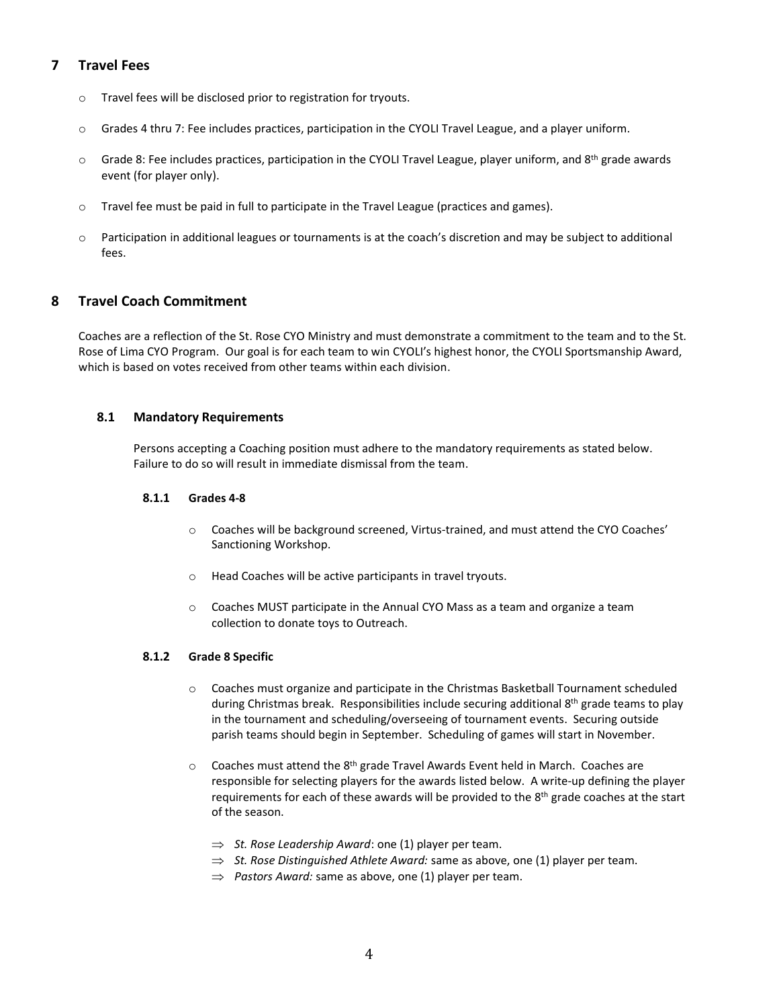## <span id="page-3-0"></span>**7 Travel Fees**

- o Travel fees will be disclosed prior to registration for tryouts.
- o Grades 4 thru 7: Fee includes practices, participation in the CYOLI Travel League, and a player uniform.
- $\circ$  Grade 8: Fee includes practices, participation in the CYOLI Travel League, player uniform, and 8<sup>th</sup> grade awards event (for player only).
- o Travel fee must be paid in full to participate in the Travel League (practices and games).
- o Participation in additional leagues or tournaments is at the coach's discretion and may be subject to additional fees.

# <span id="page-3-1"></span>**8 Travel Coach Commitment**

Coaches are a reflection of the St. Rose CYO Ministry and must demonstrate a commitment to the team and to the St. Rose of Lima CYO Program. Our goal is for each team to win CYOLI's highest honor, the CYOLI Sportsmanship Award, which is based on votes received from other teams within each division.

### <span id="page-3-3"></span><span id="page-3-2"></span>**8.1 Mandatory Requirements**

Persons accepting a Coaching position must adhere to the mandatory requirements as stated below. Failure to do so will result in immediate dismissal from the team.

#### **8.1.1 Grades 4-8**

- o Coaches will be background screened, Virtus-trained, and must attend the CYO Coaches' Sanctioning Workshop.
- o Head Coaches will be active participants in travel tryouts.
- o Coaches MUST participate in the Annual CYO Mass as a team and organize a team collection to donate toys to Outreach.

#### <span id="page-3-4"></span>**8.1.2 Grade 8 Specific**

- o Coaches must organize and participate in the Christmas Basketball Tournament scheduled during Christmas break. Responsibilities include securing additional  $8<sup>th</sup>$  grade teams to play in the tournament and scheduling/overseeing of tournament events. Securing outside parish teams should begin in September. Scheduling of games will start in November.
- $\circ$  Coaches must attend the 8<sup>th</sup> grade Travel Awards Event held in March. Coaches are responsible for selecting players for the awards listed below. A write-up defining the player requirements for each of these awards will be provided to the 8<sup>th</sup> grade coaches at the start of the season.
	- $\Rightarrow$  *St. Rose Leadership Award*: one (1) player per team.
	- *St. Rose Distinguished Athlete Award:* same as above, one (1) player per team.
	- $\Rightarrow$  Pastors Award: same as above, one (1) player per team.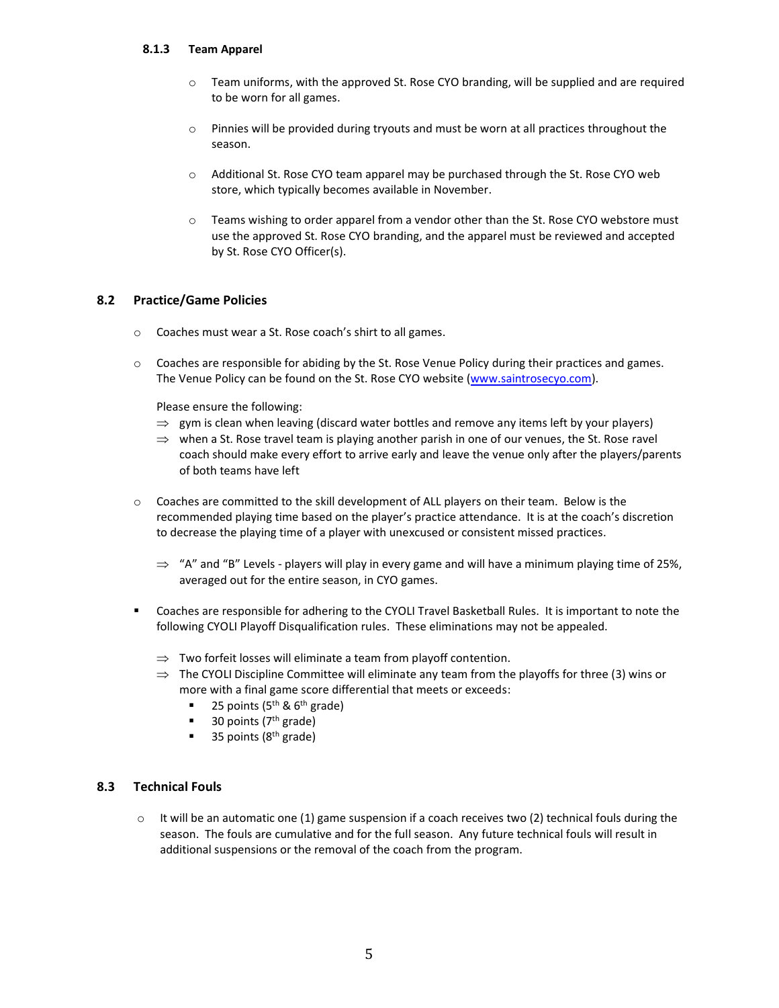#### <span id="page-4-0"></span>**8.1.3 Team Apparel**

- o Team uniforms, with the approved St. Rose CYO branding, will be supplied and are required to be worn for all games.
- o Pinnies will be provided during tryouts and must be worn at all practices throughout the season.
- $\circ$  Additional St. Rose CYO team apparel may be purchased through the St. Rose CYO web store, which typically becomes available in November.
- o Teams wishing to order apparel from a vendor other than the St. Rose CYO webstore must use the approved St. Rose CYO branding, and the apparel must be reviewed and accepted by St. Rose CYO Officer(s).

#### <span id="page-4-1"></span>**8.2 Practice/Game Policies**

- o Coaches must wear a St. Rose coach's shirt to all games.
- o Coaches are responsible for abiding by the St. Rose Venue Policy during their practices and games. The Venue Policy can be found on the St. Rose CYO website [\(www.saintrosecyo.com\)](http://www.saintrosecyo.com/).

Please ensure the following:

- $\Rightarrow$  gym is clean when leaving (discard water bottles and remove any items left by your players)
- $\Rightarrow$  when a St. Rose travel team is playing another parish in one of our venues, the St. Rose ravel coach should make every effort to arrive early and leave the venue only after the players/parents of both teams have left
- o Coaches are committed to the skill development of ALL players on their team. Below is the recommended playing time based on the player's practice attendance. It is at the coach's discretion to decrease the playing time of a player with unexcused or consistent missed practices.
	- $\Rightarrow$  "A" and "B" Levels players will play in every game and will have a minimum playing time of 25%, averaged out for the entire season, in CYO games.
- Coaches are responsible for adhering to the CYOLI Travel Basketball Rules. It is important to note the following CYOLI Playoff Disqualification rules. These eliminations may not be appealed.
	- $\Rightarrow$  Two forfeit losses will eliminate a team from playoff contention.
	- $\Rightarrow$  The CYOLI Discipline Committee will eliminate any team from the playoffs for three (3) wins or more with a final game score differential that meets or exceeds:
		- 25 points ( $5<sup>th</sup>$  &  $6<sup>th</sup>$  grade)
		- 30 points ( $7<sup>th</sup>$  grade)
		- 35 points ( $8<sup>th</sup>$  grade)

#### <span id="page-4-2"></span>**8.3 Technical Fouls**

 $\circ$  It will be an automatic one (1) game suspension if a coach receives two (2) technical fouls during the season. The fouls are cumulative and for the full season. Any future technical fouls will result in additional suspensions or the removal of the coach from the program.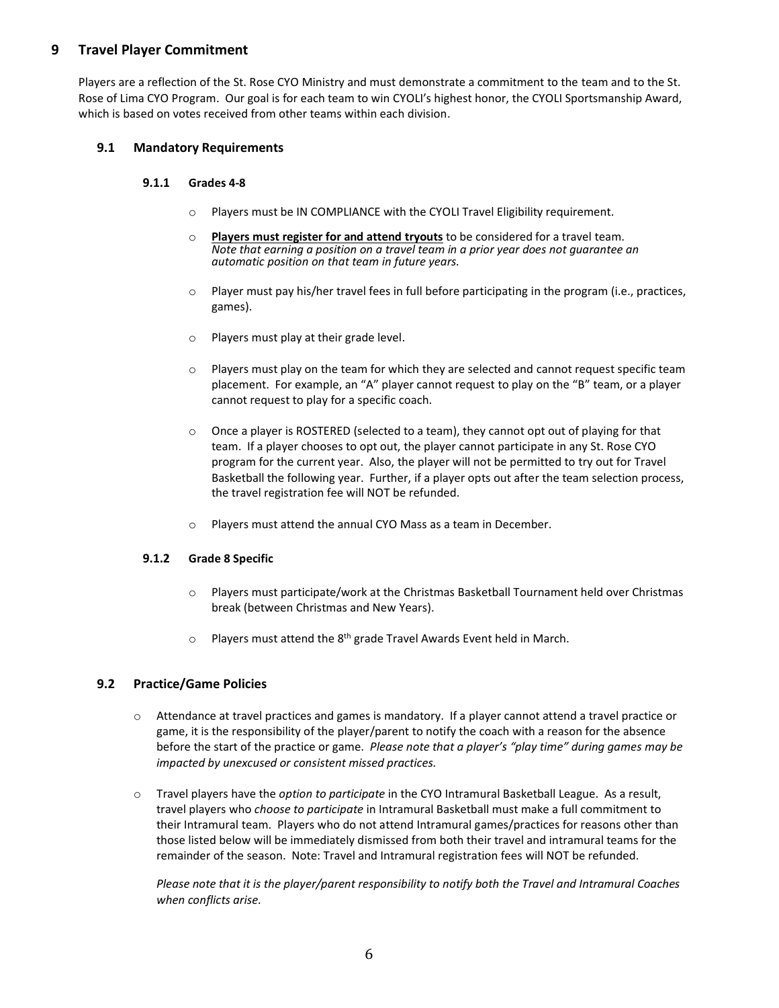## <span id="page-5-0"></span>**9 Travel Player Commitment**

Players are a reflection of the St. Rose CYO Ministry and must demonstrate a commitment to the team and to the St. Rose of Lima CYO Program. Our goal is for each team to win CYOLI's highest honor, the CYOLI Sportsmanship Award, which is based on votes received from other teams within each division.

### <span id="page-5-2"></span><span id="page-5-1"></span>**9.1 Mandatory Requirements**

#### **9.1.1 Grades 4-8**

- o Players must be IN COMPLIANCE with the CYOLI Travel Eligibility requirement.
- o **Players must register for and attend tryouts** to be considered for a travel team. *Note that earning a position on a travel team in a prior year does not guarantee an automatic position on that team in future years.*
- o Player must pay his/her travel fees in full before participating in the program (i.e., practices, games).
- o Players must play at their grade level.
- $\circ$  Players must play on the team for which they are selected and cannot request specific team placement. For example, an "A" player cannot request to play on the "B" team, or a player cannot request to play for a specific coach.
- o Once a player is ROSTERED (selected to a team), they cannot opt out of playing for that team. If a player chooses to opt out, the player cannot participate in any St. Rose CYO program for the current year. Also, the player will not be permitted to try out for Travel Basketball the following year. Further, if a player opts out after the team selection process, the travel registration fee will NOT be refunded.
- o Players must attend the annual CYO Mass as a team in December.

#### <span id="page-5-3"></span>**9.1.2 Grade 8 Specific**

- o Players must participate/work at the Christmas Basketball Tournament held over Christmas break (between Christmas and New Years).
- $\circ$  Players must attend the 8<sup>th</sup> grade Travel Awards Event held in March.

#### <span id="page-5-4"></span>**9.2 Practice/Game Policies**

- o Attendance at travel practices and games is mandatory. If a player cannot attend a travel practice or game, it is the responsibility of the player/parent to notify the coach with a reason for the absence before the start of the practice or game. *Please note that a player's "play time" during games may be impacted by unexcused or consistent missed practices.*
- o Travel players have the *option to participate* in the CYO Intramural Basketball League. As a result, travel players who *choose to participate* in Intramural Basketball must make a full commitment to their Intramural team. Players who do not attend Intramural games/practices for reasons other than those listed below will be immediately dismissed from both their travel and intramural teams for the remainder of the season. Note: Travel and Intramural registration fees will NOT be refunded.

*Please note that it is the player/parent responsibility to notify both the Travel and Intramural Coaches when conflicts arise.*